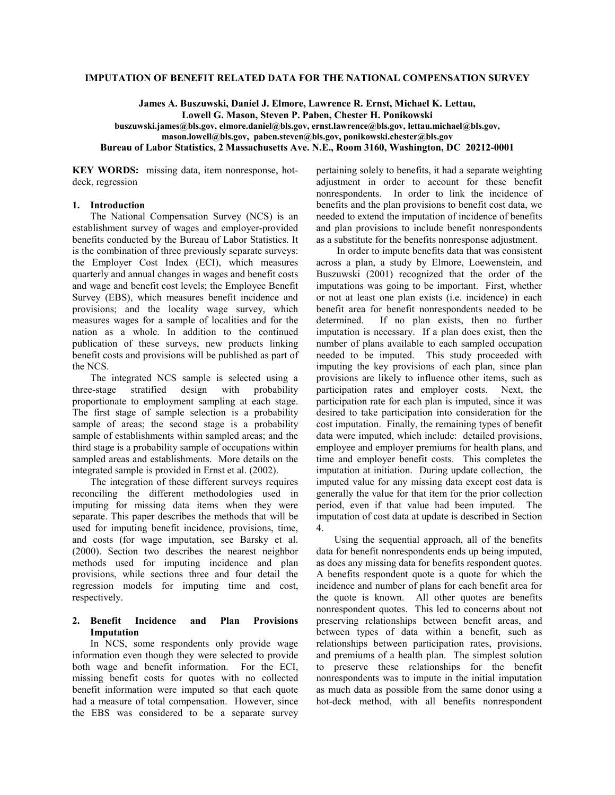## **IMPUTATION OF BENEFIT RELATED DATA FOR THE NATIONAL COMPENSATION SURVEY**

**James A. Buszuwski, Daniel J. Elmore, Lawrence R. Ernst, Michael K. Lettau, Lowell G. Mason, Steven P. Paben, Chester H. Ponikowski buszuwski.james@bls.gov, elmore.daniel@bls.gov, ernst.lawrence@bls.gov, lettau.michael@bls.gov,** 

**mason.lowell@bls.gov, paben.steven@bls.gov, ponikowski.chester@bls.gov** 

**Bureau of Labor Statistics, 2 Massachusetts Ave. N.E., Room 3160, Washington, DC 20212-0001** 

**KEY WORDS:** missing data, item nonresponse, hotdeck, regression

# **1. Introduction**

The National Compensation Survey (NCS) is an establishment survey of wages and employer-provided benefits conducted by the Bureau of Labor Statistics. It is the combination of three previously separate surveys: the Employer Cost Index (ECI), which measures quarterly and annual changes in wages and benefit costs and wage and benefit cost levels; the Employee Benefit Survey (EBS), which measures benefit incidence and provisions; and the locality wage survey, which measures wages for a sample of localities and for the nation as a whole. In addition to the continued publication of these surveys, new products linking benefit costs and provisions will be published as part of the NCS.

The integrated NCS sample is selected using a three-stage stratified design with probability proportionate to employment sampling at each stage. The first stage of sample selection is a probability sample of areas; the second stage is a probability sample of establishments within sampled areas; and the third stage is a probability sample of occupations within sampled areas and establishments. More details on the integrated sample is provided in Ernst et al. (2002).

The integration of these different surveys requires reconciling the different methodologies used in imputing for missing data items when they were separate. This paper describes the methods that will be used for imputing benefit incidence, provisions, time, and costs (for wage imputation, see Barsky et al. (2000). Section two describes the nearest neighbor methods used for imputing incidence and plan provisions, while sections three and four detail the regression models for imputing time and cost, respectively.

#### **2. Benefit Incidence and Plan Provisions Imputation**

In NCS, some respondents only provide wage information even though they were selected to provide both wage and benefit information. For the ECI, missing benefit costs for quotes with no collected benefit information were imputed so that each quote had a measure of total compensation. However, since the EBS was considered to be a separate survey pertaining solely to benefits, it had a separate weighting adjustment in order to account for these benefit nonrespondents. In order to link the incidence of benefits and the plan provisions to benefit cost data, we needed to extend the imputation of incidence of benefits and plan provisions to include benefit nonrespondents as a substitute for the benefits nonresponse adjustment.

 In order to impute benefits data that was consistent across a plan, a study by Elmore, Loewenstein, and Buszuwski (2001) recognized that the order of the imputations was going to be important. First, whether or not at least one plan exists (i.e. incidence) in each benefit area for benefit nonrespondents needed to be determined. If no plan exists, then no further imputation is necessary. If a plan does exist, then the number of plans available to each sampled occupation needed to be imputed. This study proceeded with imputing the key provisions of each plan, since plan provisions are likely to influence other items, such as participation rates and employer costs. Next, the participation rate for each plan is imputed, since it was desired to take participation into consideration for the cost imputation. Finally, the remaining types of benefit data were imputed, which include: detailed provisions, employee and employer premiums for health plans, and time and employer benefit costs. This completes the imputation at initiation. During update collection, the imputed value for any missing data except cost data is generally the value for that item for the prior collection period, even if that value had been imputed. The imputation of cost data at update is described in Section 4.

Using the sequential approach, all of the benefits data for benefit nonrespondents ends up being imputed, as does any missing data for benefits respondent quotes. A benefits respondent quote is a quote for which the incidence and number of plans for each benefit area for the quote is known. All other quotes are benefits nonrespondent quotes. This led to concerns about not preserving relationships between benefit areas, and between types of data within a benefit, such as relationships between participation rates, provisions, and premiums of a health plan. The simplest solution to preserve these relationships for the benefit nonrespondents was to impute in the initial imputation as much data as possible from the same donor using a hot-deck method, with all benefits nonrespondent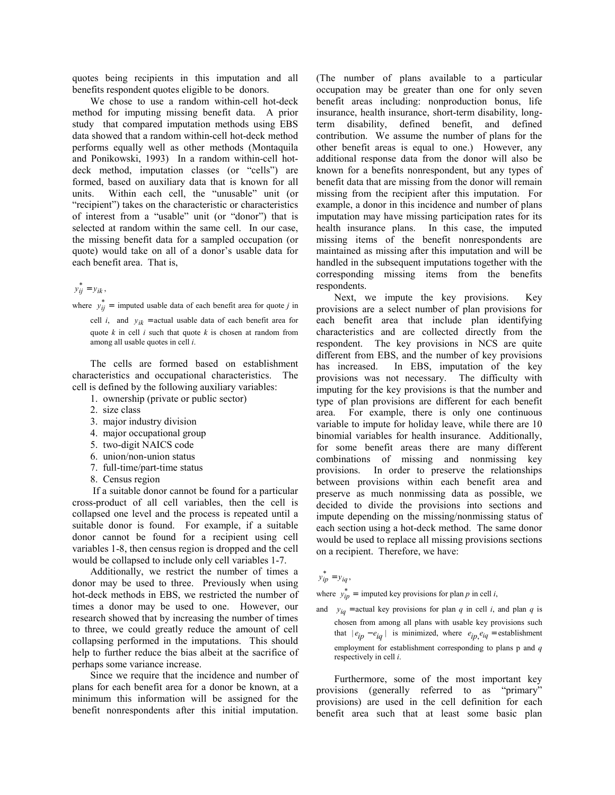quotes being recipients in this imputation and all benefits respondent quotes eligible to be donors.

We chose to use a random within-cell hot-deck method for imputing missing benefit data. A prior study that compared imputation methods using EBS data showed that a random within-cell hot-deck method performs equally well as other methods (Montaquila and Ponikowski, 1993) In a random within-cell hotdeck method, imputation classes (or "cells") are formed, based on auxiliary data that is known for all units. Within each cell, the "unusable" unit (or "recipient") takes on the characteristic or characteristics of interest from a "usable" unit (or "donor") that is selected at random within the same cell. In our case, the missing benefit data for a sampled occupation (or quote) would take on all of a donor's usable data for each benefit area. That is,

# $y_{ij}^* = y_{ik}$ ,

where  $y_{ij}^*$  = imputed usable data of each benefit area for quote *j* in

cell *i*, and  $y_{ik}$  = actual usable data of each benefit area for quote *k* in cell *i* such that quote *k* is chosen at random from among all usable quotes in cell *i*.

The cells are formed based on establishment characteristics and occupational characteristics. The cell is defined by the following auxiliary variables:

- 1. ownership (private or public sector)
- 2. size class
- 3. major industry division
- 4. major occupational group
- 5. two-digit NAICS code
- 6. union/non-union status
- 7. full-time/part-time status
- 8. Census region

 If a suitable donor cannot be found for a particular cross-product of all cell variables, then the cell is collapsed one level and the process is repeated until a suitable donor is found. For example, if a suitable donor cannot be found for a recipient using cell variables 1-8, then census region is dropped and the cell would be collapsed to include only cell variables 1-7.

Additionally, we restrict the number of times a donor may be used to three. Previously when using hot-deck methods in EBS, we restricted the number of times a donor may be used to one. However, our research showed that by increasing the number of times to three, we could greatly reduce the amount of cell collapsing performed in the imputations. This should help to further reduce the bias albeit at the sacrifice of perhaps some variance increase.

Since we require that the incidence and number of plans for each benefit area for a donor be known, at a minimum this information will be assigned for the benefit nonrespondents after this initial imputation.

(The number of plans available to a particular occupation may be greater than one for only seven benefit areas including: nonproduction bonus, life insurance, health insurance, short-term disability, longterm disability, defined benefit, and defined contribution. We assume the number of plans for the other benefit areas is equal to one.) However, any additional response data from the donor will also be known for a benefits nonrespondent, but any types of benefit data that are missing from the donor will remain missing from the recipient after this imputation. For example, a donor in this incidence and number of plans imputation may have missing participation rates for its health insurance plans. In this case, the imputed missing items of the benefit nonrespondents are maintained as missing after this imputation and will be handled in the subsequent imputations together with the corresponding missing items from the benefits respondents.

Next, we impute the key provisions. Key provisions are a select number of plan provisions for each benefit area that include plan identifying characteristics and are collected directly from the respondent. The key provisions in NCS are quite different from EBS, and the number of key provisions has increased. In EBS, imputation of the key provisions was not necessary. The difficulty with imputing for the key provisions is that the number and type of plan provisions are different for each benefit area. For example, there is only one continuous variable to impute for holiday leave, while there are 10 binomial variables for health insurance. Additionally, for some benefit areas there are many different combinations of missing and nonmissing key provisions. In order to preserve the relationships between provisions within each benefit area and preserve as much nonmissing data as possible, we decided to divide the provisions into sections and impute depending on the missing/nonmissing status of each section using a hot-deck method. The same donor would be used to replace all missing provisions sections on a recipient. Therefore, we have:

# $y_{ip}^{*} = y_{iq}$ ,

where  $y_{ip}^* =$  imputed key provisions for plan *p* in cell *i*,

and  $y_{iq}$  = actual key provisions for plan *q* in cell *i*, and plan *q* is chosen from among all plans with usable key provisions such that  $|e_{ip} - e_{iq}|$  is minimized, where  $e_{ip}e_{iq}$  = establishment employment for establishment corresponding to plans p and *q* respectively in cell *i*.

Furthermore, some of the most important key provisions (generally referred to as "primary" provisions) are used in the cell definition for each benefit area such that at least some basic plan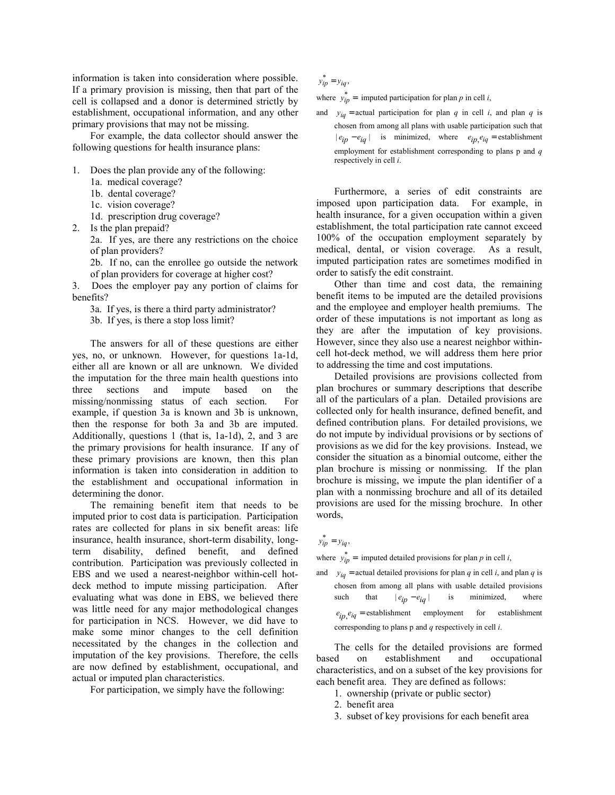information is taken into consideration where possible. If a primary provision is missing, then that part of the cell is collapsed and a donor is determined strictly by establishment, occupational information, and any other primary provisions that may not be missing.

For example, the data collector should answer the following questions for health insurance plans:

- 1. Does the plan provide any of the following:
	- 1a. medical coverage?
	- 1b. dental coverage?
	- 1c. vision coverage?
	- 1d. prescription drug coverage?
- 2. Is the plan prepaid?

2a. If yes, are there any restrictions on the choice of plan providers?

2b. If no, can the enrollee go outside the network of plan providers for coverage at higher cost?

3. Does the employer pay any portion of claims for benefits?

3a. If yes, is there a third party administrator?

3b. If yes, is there a stop loss limit?

The answers for all of these questions are either yes, no, or unknown. However, for questions 1a-1d, either all are known or all are unknown. We divided the imputation for the three main health questions into three sections and impute based on the missing/nonmissing status of each section. For example, if question 3a is known and 3b is unknown, then the response for both 3a and 3b are imputed. Additionally, questions 1 (that is, 1a-1d), 2, and 3 are the primary provisions for health insurance. If any of these primary provisions are known, then this plan information is taken into consideration in addition to the establishment and occupational information in determining the donor.

The remaining benefit item that needs to be imputed prior to cost data is participation. Participation rates are collected for plans in six benefit areas: life insurance, health insurance, short-term disability, longterm disability, defined benefit, and defined contribution. Participation was previously collected in EBS and we used a nearest-neighbor within-cell hotdeck method to impute missing participation. After evaluating what was done in EBS, we believed there was little need for any major methodological changes for participation in NCS. However, we did have to make some minor changes to the cell definition necessitated by the changes in the collection and imputation of the key provisions. Therefore, the cells are now defined by establishment, occupational, and actual or imputed plan characteristics.

For participation, we simply have the following:

 $y_{ip}^* = y_{iq}$ 

where  $y_{ip}^* =$  imputed participation for plan *p* in cell *i*,

and  $y_{iq}$  = actual participation for plan *q* in cell *i*, and plan *q* is chosen from among all plans with usable participation such that  $|e_{ip} - e_{iq}|$  is minimized, where  $e_{ip} e_{iq}$  = establishment employment for establishment corresponding to plans p and *q* respectively in cell *i*.

Furthermore, a series of edit constraints are imposed upon participation data. For example, in health insurance, for a given occupation within a given establishment, the total participation rate cannot exceed 100% of the occupation employment separately by medical, dental, or vision coverage. As a result, imputed participation rates are sometimes modified in order to satisfy the edit constraint.

Other than time and cost data, the remaining benefit items to be imputed are the detailed provisions and the employee and employer health premiums. The order of these imputations is not important as long as they are after the imputation of key provisions. However, since they also use a nearest neighbor withincell hot-deck method, we will address them here prior to addressing the time and cost imputations.

Detailed provisions are provisions collected from plan brochures or summary descriptions that describe all of the particulars of a plan. Detailed provisions are collected only for health insurance, defined benefit, and defined contribution plans. For detailed provisions, we do not impute by individual provisions or by sections of provisions as we did for the key provisions. Instead, we consider the situation as a binomial outcome, either the plan brochure is missing or nonmissing. If the plan brochure is missing, we impute the plan identifier of a plan with a nonmissing brochure and all of its detailed provisions are used for the missing brochure. In other words,

 $y_{ip}^* = y_{iq}$ 

where  $y_{ip}^* =$  imputed detailed provisions for plan *p* in cell *i*,

and  $y_{iq}$  = actual detailed provisions for plan *q* in cell *i*, and plan *q* is chosen from among all plans with usable detailed provisions such that  $|e_{in} - e_{ia}|$  is minimized, where  $e_{ip}$ <sub>eiq</sub> = establishment employment for establishment corresponding to plans p and *q* respectively in cell *i*.

The cells for the detailed provisions are formed based on establishment and occupational characteristics, and on a subset of the key provisions for each benefit area. They are defined as follows:

- 1. ownership (private or public sector)
- 2. benefit area
- 3. subset of key provisions for each benefit area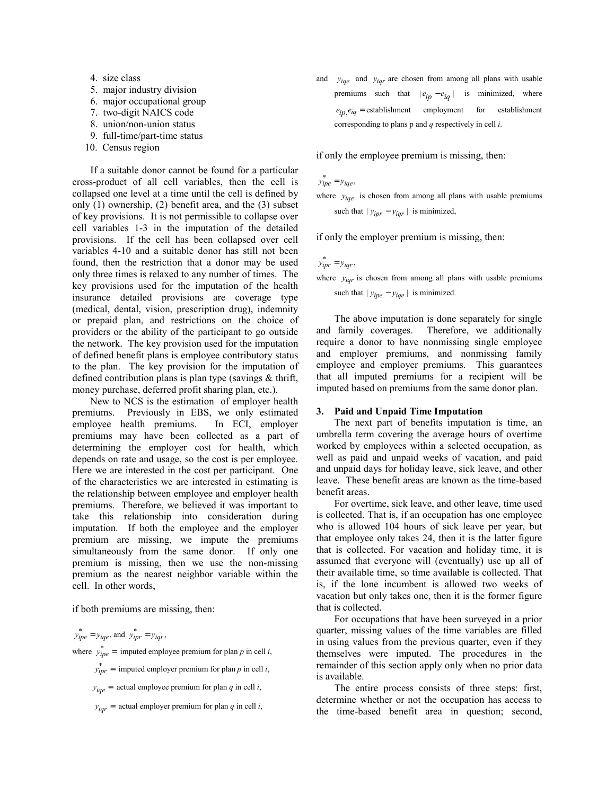- 4. size class
- 5. major industry division
- 6. major occupational group
- 7. two-digit NAICS code
- 8. union/non-union status
- 9. full-time/part-time status
- 10. Census region

If a suitable donor cannot be found for a particular cross-product of all cell variables, then the cell is collapsed one level at a time until the cell is defined by only (1) ownership, (2) benefit area, and the (3) subset of key provisions. It is not permissible to collapse over cell variables 1-3 in the imputation of the detailed provisions. If the cell has been collapsed over cell variables 4-10 and a suitable donor has still not been found, then the restriction that a donor may be used only three times is relaxed to any number of times. The key provisions used for the imputation of the health insurance detailed provisions are coverage type (medical, dental, vision, prescription drug), indemnity or prepaid plan, and restrictions on the choice of providers or the ability of the participant to go outside the network. The key provision used for the imputation of defined benefit plans is employee contributory status to the plan. The key provision for the imputation of defined contribution plans is plan type (savings & thrift, money purchase, deferred profit sharing plan, etc.).

New to NCS is the estimation of employer health premiums. Previously in EBS, we only estimated employee health premiums. In ECI, employer premiums may have been collected as a part of determining the employer cost for health, which depends on rate and usage, so the cost is per employee. Here we are interested in the cost per participant. One of the characteristics we are interested in estimating is the relationship between employee and employer health premiums. Therefore, we believed it was important to take this relationship into consideration during imputation. If both the employee and the employer premium are missing, we impute the premiums simultaneously from the same donor. If only one premium is missing, then we use the non-missing premium as the nearest neighbor variable within the cell. In other words,

if both premiums are missing, then:

 $y_{ipe}^* = y_{ige}$ , and  $y_{ipr}^* = y_{igr}$ ,

where  $y_{ipe}^* =$  imputed employee premium for plan *p* in cell *i*,

- $y_{\text{ipr}}^* =$  imputed employer premium for plan *p* in cell *i*,
	- $y_{iqe}$  = actual employee premium for plan *q* in cell *i*,
	- $y_{iar}$  = actual employer premium for plan *q* in cell *i*,

and *y*iqe and *y*iqe are chosen from among all plans with usable premiums such that  $|e_{ip} - e_{iq}|$  is minimized, where  $e_{ip}$ <sub>eiq</sub> = establishment employment for establishment corresponding to plans p and *q* respectively in cell *i*.

if only the employee premium is missing, then:

 $y_{ipe}^* = y_{ige}$ ,

where  $y_{iqe}$  is chosen from among all plans with usable premiums such that  $|y_{ipr} - y_{iqr}|$  is minimized,

if only the employer premium is missing, then:

 $y_{\text{ipr}}^* = y_{\text{ipr}}$ ,

where  $y_{\text{iar}}$  is chosen from among all plans with usable premiums such that  $|y_{ipe} - y_{iqe}|$  is minimized.

The above imputation is done separately for single and family coverages. Therefore, we additionally require a donor to have nonmissing single employee and employer premiums, and nonmissing family employee and employer premiums. This guarantees that all imputed premiums for a recipient will be imputed based on premiums from the same donor plan.

#### **3. Paid and Unpaid Time Imputation**

The next part of benefits imputation is time, an umbrella term covering the average hours of overtime worked by employees within a selected occupation, as well as paid and unpaid weeks of vacation, and paid and unpaid days for holiday leave, sick leave, and other leave. These benefit areas are known as the time-based benefit areas.

For overtime, sick leave, and other leave, time used is collected. That is, if an occupation has one employee who is allowed 104 hours of sick leave per year, but that employee only takes 24, then it is the latter figure that is collected. For vacation and holiday time, it is assumed that everyone will (eventually) use up all of their available time, so time available is collected. That is, if the lone incumbent is allowed two weeks of vacation but only takes one, then it is the former figure that is collected.

For occupations that have been surveyed in a prior quarter, missing values of the time variables are filled in using values from the previous quarter, even if they themselves were imputed. The procedures in the remainder of this section apply only when no prior data is available.

The entire process consists of three steps: first, determine whether or not the occupation has access to the time-based benefit area in question; second,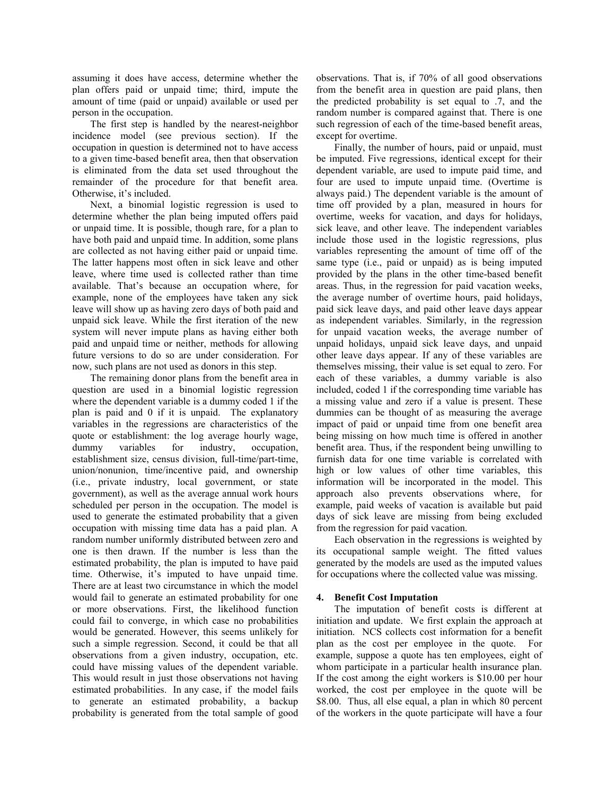assuming it does have access, determine whether the plan offers paid or unpaid time; third, impute the amount of time (paid or unpaid) available or used per person in the occupation.

The first step is handled by the nearest-neighbor incidence model (see previous section). If the occupation in question is determined not to have access to a given time-based benefit area, then that observation is eliminated from the data set used throughout the remainder of the procedure for that benefit area. Otherwise, it's included.

Next, a binomial logistic regression is used to determine whether the plan being imputed offers paid or unpaid time. It is possible, though rare, for a plan to have both paid and unpaid time. In addition, some plans are collected as not having either paid or unpaid time. The latter happens most often in sick leave and other leave, where time used is collected rather than time available. That's because an occupation where, for example, none of the employees have taken any sick leave will show up as having zero days of both paid and unpaid sick leave. While the first iteration of the new system will never impute plans as having either both paid and unpaid time or neither, methods for allowing future versions to do so are under consideration. For now, such plans are not used as donors in this step.

The remaining donor plans from the benefit area in question are used in a binomial logistic regression where the dependent variable is a dummy coded 1 if the plan is paid and 0 if it is unpaid. The explanatory variables in the regressions are characteristics of the quote or establishment: the log average hourly wage, dummy variables for industry, occupation, establishment size, census division, full-time/part-time, union/nonunion, time/incentive paid, and ownership (i.e., private industry, local government, or state government), as well as the average annual work hours scheduled per person in the occupation. The model is used to generate the estimated probability that a given occupation with missing time data has a paid plan. A random number uniformly distributed between zero and one is then drawn. If the number is less than the estimated probability, the plan is imputed to have paid time. Otherwise, it's imputed to have unpaid time. There are at least two circumstance in which the model would fail to generate an estimated probability for one or more observations. First, the likelihood function could fail to converge, in which case no probabilities would be generated. However, this seems unlikely for such a simple regression. Second, it could be that all observations from a given industry, occupation, etc. could have missing values of the dependent variable. This would result in just those observations not having estimated probabilities. In any case, if the model fails to generate an estimated probability, a backup probability is generated from the total sample of good observations. That is, if 70% of all good observations from the benefit area in question are paid plans, then the predicted probability is set equal to .7, and the random number is compared against that. There is one such regression of each of the time-based benefit areas, except for overtime.

Finally, the number of hours, paid or unpaid, must be imputed. Five regressions, identical except for their dependent variable, are used to impute paid time, and four are used to impute unpaid time. (Overtime is always paid.) The dependent variable is the amount of time off provided by a plan, measured in hours for overtime, weeks for vacation, and days for holidays, sick leave, and other leave. The independent variables include those used in the logistic regressions, plus variables representing the amount of time off of the same type (i.e., paid or unpaid) as is being imputed provided by the plans in the other time-based benefit areas. Thus, in the regression for paid vacation weeks, the average number of overtime hours, paid holidays, paid sick leave days, and paid other leave days appear as independent variables. Similarly, in the regression for unpaid vacation weeks, the average number of unpaid holidays, unpaid sick leave days, and unpaid other leave days appear. If any of these variables are themselves missing, their value is set equal to zero. For each of these variables, a dummy variable is also included, coded 1 if the corresponding time variable has a missing value and zero if a value is present. These dummies can be thought of as measuring the average impact of paid or unpaid time from one benefit area being missing on how much time is offered in another benefit area. Thus, if the respondent being unwilling to furnish data for one time variable is correlated with high or low values of other time variables, this information will be incorporated in the model. This approach also prevents observations where, for example, paid weeks of vacation is available but paid days of sick leave are missing from being excluded from the regression for paid vacation.

Each observation in the regressions is weighted by its occupational sample weight. The fitted values generated by the models are used as the imputed values for occupations where the collected value was missing.

## **4. Benefit Cost Imputation**

The imputation of benefit costs is different at initiation and update. We first explain the approach at initiation. NCS collects cost information for a benefit plan as the cost per employee in the quote. For example, suppose a quote has ten employees, eight of whom participate in a particular health insurance plan. If the cost among the eight workers is \$10.00 per hour worked, the cost per employee in the quote will be \$8.00. Thus, all else equal, a plan in which 80 percent of the workers in the quote participate will have a four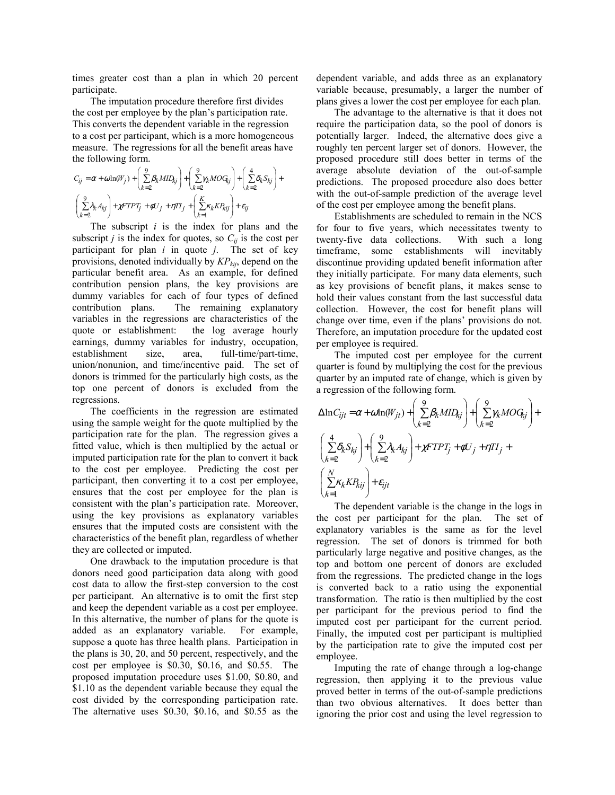times greater cost than a plan in which 20 percent participate.

The imputation procedure therefore first divides the cost per employee by the plan's participation rate. This converts the dependent variable in the regression to a cost per participant, which is a more homogeneous measure. The regressions for all the benefit areas have the following form.

+

$$
C_{ij} = \alpha + \omega \ln(W_j) + \left(\sum_{k=2}^{9} \beta_k M I D_{kj}\right) + \left(\sum_{k=2}^{9} \gamma_k M O G_{kj}\right) + \left(\sum_{k=2}^{4} \delta_k S_{kj}\right)
$$

$$
\left(\sum_{k=2}^{9} \lambda_k A_{kj}\right) + \chi F T P T_j + \phi U_j + \eta T T_j + \left(\sum_{k=1}^{K} \kappa_k K P_{kj}\right) + \varepsilon_{ij}
$$

The subscript *i* is the index for plans and the subscript *j* is the index for quotes, so  $C_{ij}$  is the cost per participant for plan *i* in quote *j*. The set of key provisions, denoted individually by *KPkij*, depend on the particular benefit area. As an example, for defined contribution pension plans, the key provisions are dummy variables for each of four types of defined contribution plans. The remaining explanatory variables in the regressions are characteristics of the quote or establishment: the log average hourly earnings, dummy variables for industry, occupation, establishment size, area, full-time/part-time, union/nonunion, and time/incentive paid. The set of donors is trimmed for the particularly high costs, as the top one percent of donors is excluded from the regressions.

The coefficients in the regression are estimated using the sample weight for the quote multiplied by the participation rate for the plan. The regression gives a fitted value, which is then multiplied by the actual or imputed participation rate for the plan to convert it back to the cost per employee. Predicting the cost per participant, then converting it to a cost per employee, ensures that the cost per employee for the plan is consistent with the plan's participation rate. Moreover, using the key provisions as explanatory variables ensures that the imputed costs are consistent with the characteristics of the benefit plan, regardless of whether they are collected or imputed.

One drawback to the imputation procedure is that donors need good participation data along with good cost data to allow the first-step conversion to the cost per participant. An alternative is to omit the first step and keep the dependent variable as a cost per employee. In this alternative, the number of plans for the quote is added as an explanatory variable. For example, suppose a quote has three health plans. Participation in the plans is 30, 20, and 50 percent, respectively, and the cost per employee is \$0.30, \$0.16, and \$0.55. The proposed imputation procedure uses \$1.00, \$0.80, and \$1.10 as the dependent variable because they equal the cost divided by the corresponding participation rate. The alternative uses \$0.30, \$0.16, and \$0.55 as the

dependent variable, and adds three as an explanatory variable because, presumably, a larger the number of plans gives a lower the cost per employee for each plan.

The advantage to the alternative is that it does not require the participation data, so the pool of donors is potentially larger. Indeed, the alternative does give a roughly ten percent larger set of donors. However, the proposed procedure still does better in terms of the average absolute deviation of the out-of-sample predictions. The proposed procedure also does better with the out-of-sample prediction of the average level of the cost per employee among the benefit plans.

Establishments are scheduled to remain in the NCS for four to five years, which necessitates twenty to twenty-five data collections. With such a long timeframe, some establishments will inevitably discontinue providing updated benefit information after they initially participate. For many data elements, such as key provisions of benefit plans, it makes sense to hold their values constant from the last successful data collection. However, the cost for benefit plans will change over time, even if the plans' provisions do not. Therefore, an imputation procedure for the updated cost per employee is required.

The imputed cost per employee for the current quarter is found by multiplying the cost for the previous quarter by an imputed rate of change, which is given by a regression of the following form.

$$
\begin{split} &\Delta \ln C_{ijt} = \alpha + \omega \ln(W_{jt}) + \left(\sum\limits_{k=2}^{9} \beta_k M I D_{kj}\right) + \left(\sum\limits_{k=2}^{9} \gamma_k M O G_{kj}\right) + \\ & \left(\sum\limits_{k=2}^{4} \delta_k S_{kj}\right) + \left(\sum\limits_{k=2}^{9} \lambda_k A_{kj}\right) + \chi FTPT_j + \phi U_j + \eta TI_j + \\ & \left(\sum\limits_{k=1}^{N} \kappa_k K P_{kij}\right) + \varepsilon_{ijt} \end{split}
$$

The dependent variable is the change in the logs in the cost per participant for the plan. The set of explanatory variables is the same as for the level regression. The set of donors is trimmed for both particularly large negative and positive changes, as the top and bottom one percent of donors are excluded from the regressions. The predicted change in the logs is converted back to a ratio using the exponential transformation. The ratio is then multiplied by the cost per participant for the previous period to find the imputed cost per participant for the current period. Finally, the imputed cost per participant is multiplied by the participation rate to give the imputed cost per employee.

Imputing the rate of change through a log-change regression, then applying it to the previous value proved better in terms of the out-of-sample predictions than two obvious alternatives. It does better than ignoring the prior cost and using the level regression to